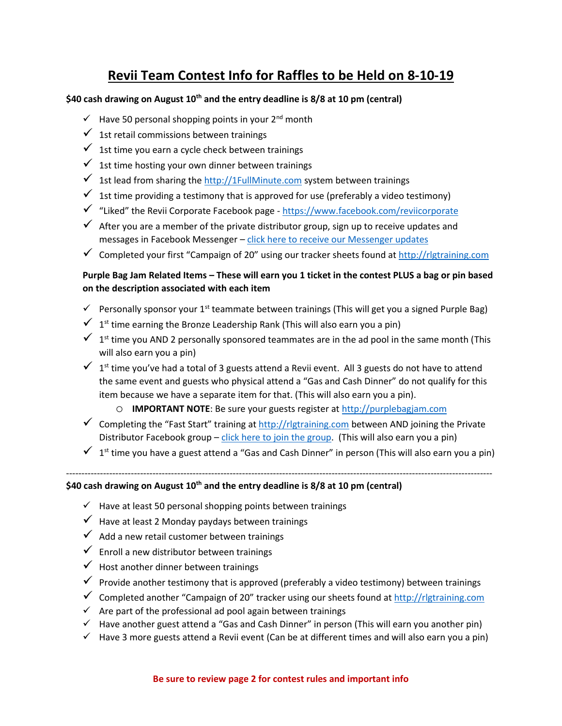## **Revii Team Contest Info for Raffles to be Held on 8-10-19**

## **\$40 cash drawing on August 10th and the entry deadline is 8/8 at 10 pm (central)**

- $\checkmark$  Have 50 personal shopping points in your 2<sup>nd</sup> month
- $\checkmark$  1st retail commissions between trainings
- $\checkmark$  1st time you earn a cycle check between trainings
- $\checkmark$  1st time hosting your own dinner between trainings
- $\checkmark$  1st lead from sharing th[e http://1FullMinute.com](http://1fullminute.com/) system between trainings
- $\checkmark$  1st time providing a testimony that is approved for use (preferably a video testimony)
- ✓ "Liked" the Revii Corporate Facebook page <https://www.facebook.com/reviicorporate>
- $\checkmark$  After you are a member of the private distributor group, sign up to receive updates and messages in Facebook Messenger - [click here to receive our Messenger updates](http://helpingmyfriends.com/groupmessages)
- $\checkmark$  Completed your first "Campaign of 20" using our tracker sheets found at [http://rlgtraining.com](http://rlgtraining.com/)

## **Purple Bag Jam Related Items – These will earn you 1 ticket in the contest PLUS a bag or pin based on the description associated with each item**

- $\checkmark$  Personally sponsor your 1<sup>st</sup> teammate between trainings (This will get you a signed Purple Bag)
- $\checkmark$  1<sup>st</sup> time earning the Bronze Leadership Rank (This will also earn you a pin)
- $\checkmark$  1<sup>st</sup> time you AND 2 personally sponsored teammates are in the ad pool in the same month (This will also earn you a pin)
- $\checkmark$  1<sup>st</sup> time you've had a total of 3 guests attend a Revii event. All 3 guests do not have to attend the same event and guests who physical attend a "Gas and Cash Dinner" do not qualify for this item because we have a separate item for that. (This will also earn you a pin).
	- o **IMPORTANT NOTE**: Be sure your guests register at [http://purplebagjam.com](http://purplebagjam.com/)
- $\checkmark$  Completing the "Fast Start" training at [http://rlgtraining.com](http://rlgtraining.com/) between AND joining the Private Distributor Facebook group – [click here to join the group.](https://www.facebook.com/groups/rlgtraining/) (This will also earn you a pin)
- $\checkmark$  1<sup>st</sup> time you have a guest attend a "Gas and Cash Dinner" in person (This will also earn you a pin)

------------------------------------------------------------------------------------------------------------------------------------------

**\$40 cash drawing on August 10th and the entry deadline is 8/8 at 10 pm (central)** 

- $\checkmark$  Have at least 50 personal shopping points between trainings
- $\checkmark$  Have at least 2 Monday paydays between trainings
- $\checkmark$  Add a new retail customer between trainings
- $\checkmark$  Enroll a new distributor between trainings
- $\checkmark$  Host another dinner between trainings
- $\checkmark$  Provide another testimony that is approved (preferably a video testimony) between trainings
- $\checkmark$  Completed another "Campaign of 20" tracker using our sheets found a[t http://rlgtraining.com](http://rlgtraining.com/)
- $\checkmark$  Are part of the professional ad pool again between trainings
- ✓ Have another guest attend a "Gas and Cash Dinner" in person (This will earn you another pin)
- $\checkmark$  Have 3 more guests attend a Revii event (Can be at different times and will also earn you a pin)